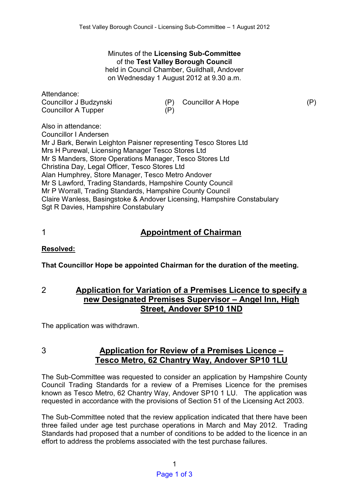# Minutes of the **Licensing Sub-Committee**  of the **Test Valley Borough Council**

held in Council Chamber, Guildhall, Andover on Wednesday 1 August 2012 at 9.30 a.m.

| Attendance:<br>Councillor J Budzynski                            | (P) | <b>Councillor A Hope</b> | (P) |
|------------------------------------------------------------------|-----|--------------------------|-----|
| <b>Councillor A Tupper</b>                                       | (P) |                          |     |
| Also in attendance:                                              |     |                          |     |
| <b>Councillor I Andersen</b>                                     |     |                          |     |
| Mr J Bark, Berwin Leighton Paisner representing Tesco Stores Ltd |     |                          |     |
| Mrs H Purewal, Licensing Manager Tesco Stores Ltd                |     |                          |     |
| Mr S Manders, Store Operations Manager, Tesco Stores Ltd         |     |                          |     |
| Christina Day, Legal Officer, Tesco Stores Ltd                   |     |                          |     |
| Alan Humphrey, Store Manager, Tesco Metro Andover                |     |                          |     |
| Mr S Lowford Trading Standards, Hampshiro County Council         |     |                          |     |

Mr S Lawford, Trading Standards, Hampshire County Council Mr P Worrall, Trading Standards, Hampshire County Council Claire Wanless, Basingstoke & Andover Licensing, Hampshire Constabulary Sgt R Davies, Hampshire Constabulary

### 1 **Appointment of Chairman**

### **Resolved:**

**That Councillor Hope be appointed Chairman for the duration of the meeting.** 

2 **Application for Variation of a Premises Licence to specify a new Designated Premises Supervisor – Angel Inn, High Street, Andover SP10 1ND** 

The application was withdrawn.

## 3 **Application for Review of a Premises Licence – Tesco Metro, 62 Chantry Way, Andover SP10 1LU**

The Sub-Committee was requested to consider an application by Hampshire County Council Trading Standards for a review of a Premises Licence for the premises known as Tesco Metro, 62 Chantry Way, Andover SP10 1 LU. The application was requested in accordance with the provisions of Section 51 of the Licensing Act 2003.

The Sub-Committee noted that the review application indicated that there have been three failed under age test purchase operations in March and May 2012. Trading Standards had proposed that a number of conditions to be added to the licence in an effort to address the problems associated with the test purchase failures.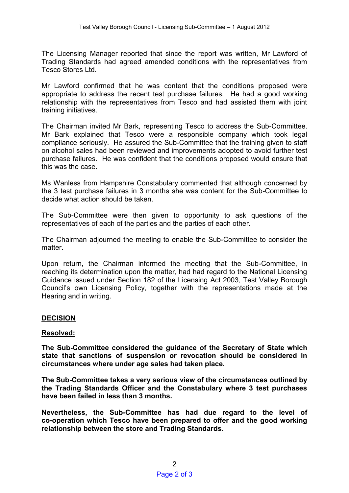The Licensing Manager reported that since the report was written, Mr Lawford of Trading Standards had agreed amended conditions with the representatives from Tesco Stores Ltd.

Mr Lawford confirmed that he was content that the conditions proposed were appropriate to address the recent test purchase failures. He had a good working relationship with the representatives from Tesco and had assisted them with joint training initiatives.

The Chairman invited Mr Bark, representing Tesco to address the Sub-Committee. Mr Bark explained that Tesco were a responsible company which took legal compliance seriously. He assured the Sub-Committee that the training given to staff on alcohol sales had been reviewed and improvements adopted to avoid further test purchase failures. He was confident that the conditions proposed would ensure that this was the case.

Ms Wanless from Hampshire Constabulary commented that although concerned by the 3 test purchase failures in 3 months she was content for the Sub-Committee to decide what action should be taken.

The Sub-Committee were then given to opportunity to ask questions of the representatives of each of the parties and the parties of each other.

The Chairman adjourned the meeting to enable the Sub-Committee to consider the matter.

Upon return, the Chairman informed the meeting that the Sub-Committee, in reaching its determination upon the matter, had had regard to the National Licensing Guidance issued under Section 182 of the Licensing Act 2003, Test Valley Borough Council's own Licensing Policy, together with the representations made at the Hearing and in writing.

### **DECISION**

### **Resolved:**

**The Sub-Committee considered the guidance of the Secretary of State which state that sanctions of suspension or revocation should be considered in circumstances where under age sales had taken place.** 

**The Sub-Committee takes a very serious view of the circumstances outlined by the Trading Standards Officer and the Constabulary where 3 test purchases have been failed in less than 3 months.** 

**Nevertheless, the Sub-Committee has had due regard to the level of co-operation which Tesco have been prepared to offer and the good working relationship between the store and Trading Standards.**